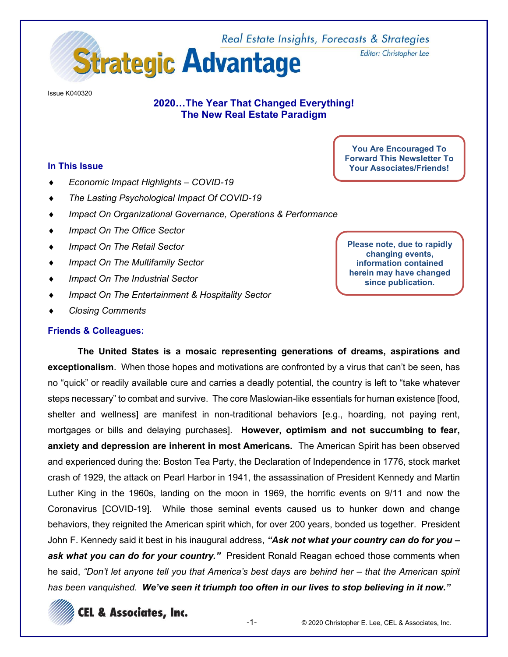

**Issue K040320** 

# 2020...The Year That Changed Everything! The New Real Estate Paradigm

#### In This Issue

- Economic Impact Highlights COVID-19  $\bullet$
- The Lasting Psychological Impact Of COVID-19  $\bullet$
- Impact On Organizational Governance, Operations & Performance  $\bullet$
- Impact On The Office Sector  $\bullet$
- Impact On The Retail Sector
- **Impact On The Multifamily Sector**  $\blacktriangle$
- Impact On The Industrial Sector  $\bullet$
- Impact On The Entertainment & Hospitality Sector
- **Closing Comments**

#### **Friends & Colleagues:**

**You Are Encouraged To Forward This Newsletter To Your Associates/Friends!** 

Editor: Christopher Lee

Please note, due to rapidly changing events, information contained herein may have changed since publication.

The United States is a mosaic representing generations of dreams, aspirations and exceptionalism. When those hopes and motivations are confronted by a virus that can't be seen, has no "quick" or readily available cure and carries a deadly potential, the country is left to "take whatever steps necessary" to combat and survive. The core Maslowian-like essentials for human existence [food, shelter and wellness] are manifest in non-traditional behaviors [e.g., hoarding, not paying rent, mortgages or bills and delaying purchases]. However, optimism and not succumbing to fear, anxiety and depression are inherent in most Americans. The American Spirit has been observed and experienced during the: Boston Tea Party, the Declaration of Independence in 1776, stock market crash of 1929, the attack on Pearl Harbor in 1941, the assassination of President Kennedy and Martin Luther King in the 1960s, landing on the moon in 1969, the horrific events on 9/11 and now the Coronavirus [COVID-19]. While those seminal events caused us to hunker down and change behaviors, they reignited the American spirit which, for over 200 years, bonded us together. President John F. Kennedy said it best in his inaugural address, "Ask not what your country can do for you ask what you can do for your country." President Ronald Reagan echoed those comments when he said, "Don't let anyone tell you that America's best days are behind her – that the American spirit has been vanquished. We've seen it triumph too often in our lives to stop believing in it now."

**CEL & Associates, Inc.**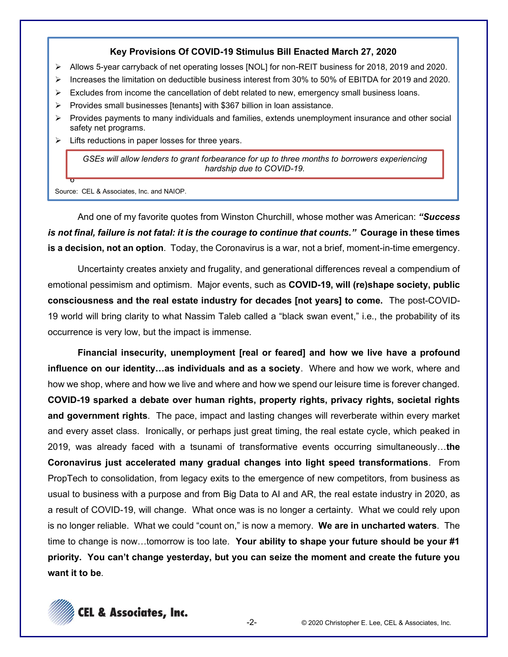# **Key Provisions Of COVID-19 Stimulus Bill Enacted March 27, 2020**

- ¾ Allows 5-year carryback of net operating losses [NOL] for non-REIT business for 2018, 2019 and 2020.
- ¾ Increases the limitation on deductible business interest from 30% to 50% of EBITDA for 2019 and 2020.
- Excludes from income the cancellation of debt related to new, emergency small business loans.
- ¾ Provides small businesses [tenants] with \$367 billion in loan assistance.
- ¾ Provides payments to many individuals and families, extends unemployment insurance and other social safety net programs.
- $\triangleright$  Lifts reductions in paper losses for three years.

*GSEs will allow lenders to grant forbearance for up to three months to borrowers experiencing hardship due to COVID-19.*

Source: CEL & Associates, Inc. and NAIOP.

6

And one of my favorite quotes from Winston Churchill, whose mother was American: "Success *is not final, failure is not fatal: it is the courage to continue that counts.´* **Courage in these times is a decision, not an option**. Today, the Coronavirus is a war, not a brief, moment-in-time emergency.

Uncertainty creates anxiety and frugality, and generational differences reveal a compendium of emotional pessimism and optimism. Major events, such as **COVID-19, will (re)shape society, public consciousness and the real estate industry for decades [not years] to come.** The post-COVID-19 world will bring clarity to what Nassim Taleb called a "black swan event," i.e., the probability of its occurrence is very low, but the impact is immense.

**Financial insecurity, unemployment [real or feared] and how we live have a profound influence on our identity...as individuals and as a society**. Where and how we work, where and how we shop, where and how we live and where and how we spend our leisure time is forever changed. **COVID-19 sparked a debate over human rights, property rights, privacy rights, societal rights and government rights**. The pace, impact and lasting changes will reverberate within every market and every asset class. Ironically, or perhaps just great timing, the real estate cycle, which peaked in 2019, was already faced with a tsunami of transformative events occurring simultaneously...the **Coronavirus just accelerated many gradual changes into light speed transformations**. From PropTech to consolidation, from legacy exits to the emergence of new competitors, from business as usual to business with a purpose and from Big Data to AI and AR, the real estate industry in 2020, as a result of COVID-19, will change. What once was is no longer a certainty. What we could rely upon is no longer reliable. What we could "count on," is now a memory. **We are in uncharted waters**. The time to change is now...tomorrow is too late. Your ability to shape your future should be your #1 priority. You can't change yesterday, but you can seize the moment and create the future you **want it to be**.

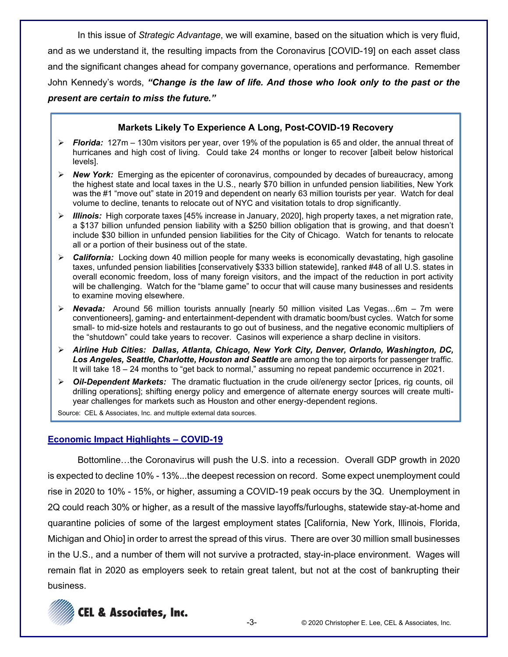In this issue of *Strategic Advantage*, we will examine, based on the situation which is very fluid, and as we understand it, the resulting impacts from the Coronavirus [COVID-19] on each asset class and the significant changes ahead for company governance, operations and performance. Remember John Kennedy's words, "Change is the law of life. And those who look only to the past or the *DIESENT are certain to miss the future."* 

# **Markets Likely To Experience A Long, Post-COVID-19 Recovery**

- $\triangleright$  **Florida:** 127m 130m visitors per year, over 19% of the population is 65 and older, the annual threat of hurricanes and high cost of living. Could take 24 months or longer to recover [albeit below historical levels].
- ¾ *New York:* Emerging as the epicenter of coronavirus, compounded by decades of bureaucracy, among the highest state and local taxes in the U.S., nearly \$70 billion in unfunded pension liabilities, New York was the #1 "move out" state in 2019 and dependent on nearly 63 million tourists per year. Watch for deal volume to decline, tenants to relocate out of NYC and visitation totals to drop significantly.
- ¾ *Illinois:* High corporate taxes [45% increase in January, 2020], high property taxes, a net migration rate, a \$137 billion unfunded pension liability with a \$250 billion obligation that is growing, and that doesn't include \$30 billion in unfunded pension liabilities for the City of Chicago. Watch for tenants to relocate all or a portion of their business out of the state.
- ¾ *California:* Locking down 40 million people for many weeks is economically devastating, high gasoline taxes, unfunded pension liabilities [conservatively \$333 billion statewide], ranked #48 of all U.S. states in overall economic freedom, loss of many foreign visitors, and the impact of the reduction in port activity will be challenging. Watch for the "blame game" to occur that will cause many businesses and residents to examine moving elsewhere.
- → **Nevada:** Around 56 million tourists annually [nearly 50 million visited Las Vegas...6m 7m were conventioneers], gaming- and entertainment-dependent with dramatic boom/bust cycles. Watch for some small- to mid-size hotels and restaurants to go out of business, and the negative economic multipliers of the "shutdown" could take years to recover. Casinos will experience a sharp decline in visitors.
- ¾ *Airline Hub Cities: Dallas, Atlanta, Chicago, New York City, Denver, Orlando, Washington, DC,*  Los Angeles, Seattle, Charlotte, Houston and Seattle are among the top airports for passenger traffic. It will take 18 - 24 months to "get back to normal," assuming no repeat pandemic occurrence in 2021.
- ¾ *Oil-Dependent Markets:* The dramatic fluctuation in the crude oil/energy sector [prices, rig counts, oil drilling operations]; shifting energy policy and emergence of alternate energy sources will create multiyear challenges for markets such as Houston and other energy-dependent regions.

Source: CEL & Associates, Inc. and multiple external data sources.

# **Economic Impact Highlights - COVID-19**

Bottomline...the Coronavirus will push the U.S. into a recession. Overall GDP growth in 2020 is expected to decline 10% - 13%...the deepest recession on record. Some expect unemployment could rise in 2020 to 10% - 15%, or higher, assuming a COVID-19 peak occurs by the 3Q. Unemployment in 2Q could reach 30% or higher, as a result of the massive layoffs/furloughs, statewide stay-at-home and quarantine policies of some of the largest employment states [California, New York, Illinois, Florida, Michigan and Ohio] in order to arrest the spread of this virus. There are over 30 million small businesses in the U.S., and a number of them will not survive a protracted, stay-in-place environment. Wages will remain flat in 2020 as employers seek to retain great talent, but not at the cost of bankrupting their business.

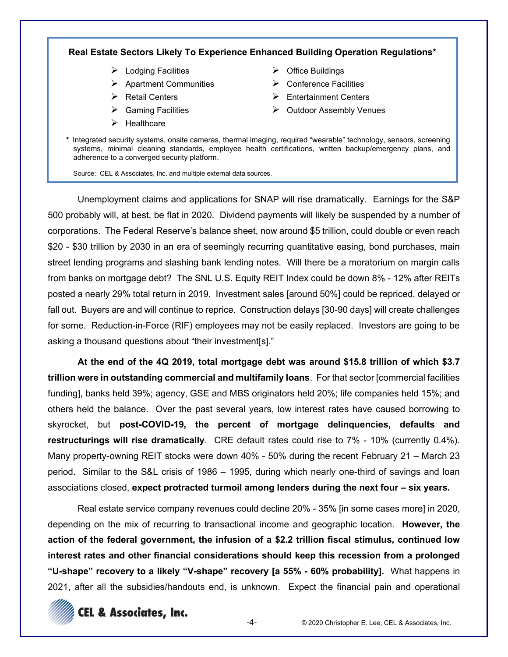# **Real Estate Sectors Likely To Experience Enhanced Building Operation Regulations\***

- $\blacktriangleright$  Lodging Facilities
- $\triangleright$  Apartment Communities
- $\triangleright$  Retail Centers
- $\triangleright$  Gaming Facilities
- $\blacktriangleright$  Healthcare
- $\triangleright$  Office Buildings
- $\triangleright$  Conference Facilities
- $\triangleright$  Entertainment Centers
- $\triangleright$  Outdoor Assembly Venues
- \* Integrated security systems, onsite cameras, thermal imaging, required "wearable" technology, sensors, screening systems, minimal cleaning standards, employee health certifications, written backup/emergency plans, and adherence to a converged security platform.

Source: CEL & Associates, Inc. and multiple external data sources.

Unemployment claims and applications for SNAP will rise dramatically. Earnings for the S&P 500 probably will, at best, be flat in 2020. Dividend payments will likely be suspended by a number of corporations. The Federal Reserve's balance sheet, now around \$5 trillion, could double or even reach \$20 - \$30 trillion by 2030 in an era of seemingly recurring quantitative easing, bond purchases, main street lending programs and slashing bank lending notes. Will there be a moratorium on margin calls from banks on mortgage debt? The SNL U.S. Equity REIT Index could be down 8% - 12% after REITs posted a nearly 29% total return in 2019. Investment sales [around 50%] could be repriced, delayed or fall out. Buyers are and will continue to reprice. Construction delays [30-90 days] will create challenges for some. Reduction-in-Force (RIF) employees may not be easily replaced. Investors are going to be asking a thousand questions about "their investment[s]."

**At the end of the 4Q 2019, total mortgage debt was around \$15.8 trillion of which \$3.7 trillion were in outstanding commercial and multifamily loans**. For that sector [commercial facilities funding], banks held 39%; agency, GSE and MBS originators held 20%; life companies held 15%; and others held the balance. Over the past several years, low interest rates have caused borrowing to skyrocket, but **post-COVID-19, the percent of mortgage delinquencies, defaults and restructurings will rise dramatically**. CRE default rates could rise to 7% - 10% (currently 0.4%). Many property-owning REIT stocks were down 40% - 50% during the recent February 21  $-$  March 23 period. Similar to the S&L crisis of  $1986 - 1995$ , during which nearly one-third of savings and loan associations closed, expect protracted turmoil among lenders during the next four - six years.

Real estate service company revenues could decline 20% - 35% [in some cases more] in 2020, depending on the mix of recurring to transactional income and geographic location. **However, the action of the federal government, the infusion of a \$2.2 trillion fiscal stimulus, continued low interest rates and other financial considerations should keep this recession from a prolonged "U-shape" recovery to a likely "V-shape" recovery [a 55% - 60% probability].** What happens in 2021, after all the subsidies/handouts end, is unknown. Expect the financial pain and operational

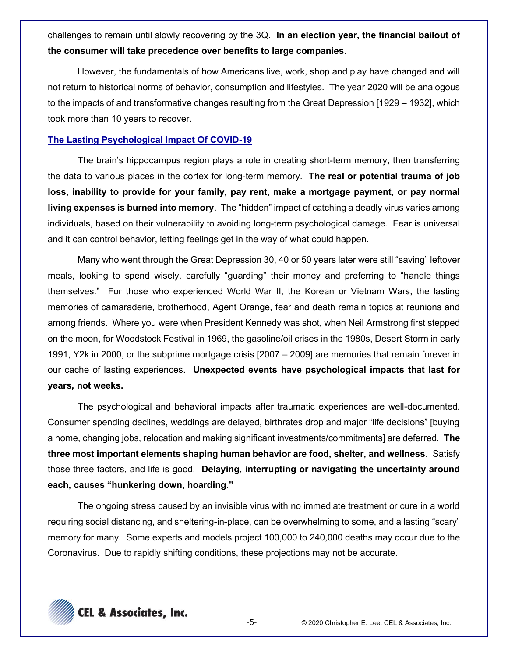challenges to remain until slowly recovering by the 3Q. In an election year, the financial bailout of the consumer will take precedence over benefits to large companies.

However, the fundamentals of how Americans live, work, shop and play have changed and will not return to historical norms of behavior, consumption and lifestyles. The year 2020 will be analogous to the impacts of and transformative changes resulting from the Great Depression [1929 – 1932], which took more than 10 years to recover.

#### The Lasting Psychological Impact Of COVID-19

The brain's hippocampus region plays a role in creating short-term memory, then transferring the data to various places in the cortex for long-term memory. The real or potential trauma of job loss, inability to provide for your family, pay rent, make a mortgage payment, or pay normal living expenses is burned into memory. The "hidden" impact of catching a deadly virus varies among individuals, based on their vulnerability to avoiding long-term psychological damage. Fear is universal and it can control behavior, letting feelings get in the way of what could happen.

Many who went through the Great Depression 30, 40 or 50 years later were still "saving" leftover meals, looking to spend wisely, carefully "guarding" their money and preferring to "handle things themselves." For those who experienced World War II, the Korean or Vietnam Wars, the lasting memories of camaraderie, brotherhood, Agent Orange, fear and death remain topics at reunions and among friends. Where you were when President Kennedy was shot, when Neil Armstrong first stepped on the moon, for Woodstock Festival in 1969, the gasoline/oil crises in the 1980s, Desert Storm in early 1991, Y2k in 2000, or the subprime mortgage crisis [2007 - 2009] are memories that remain forever in our cache of lasting experiences. Unexpected events have psychological impacts that last for years, not weeks.

The psychological and behavioral impacts after traumatic experiences are well-documented. Consumer spending declines, weddings are delayed, birthrates drop and major "life decisions" [buying a home, changing jobs, relocation and making significant investments/commitments] are deferred. The three most important elements shaping human behavior are food, shelter, and wellness. Satisfy those three factors, and life is good. Delaying, interrupting or navigating the uncertainty around each, causes "hunkering down, hoarding."

The ongoing stress caused by an invisible virus with no immediate treatment or cure in a world requiring social distancing, and sheltering-in-place, can be overwhelming to some, and a lasting "scary" memory for many. Some experts and models project 100,000 to 240,000 deaths may occur due to the Coronavirus. Due to rapidly shifting conditions, these projections may not be accurate.



 $-5-$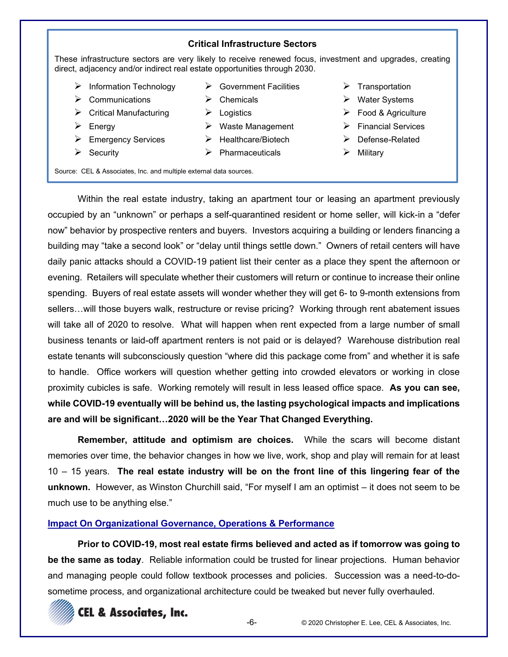#### **Critical Infrastructure Sectors**

These infrastructure sectors are very likely to receive renewed focus, investment and upgrades, creating direct, adjacency and/or indirect real estate opportunities through 2030.

 $\triangleright$  Government Facilities

- $\triangleright$  Information Technology
- $\triangleright$  Communications
- $\triangleright$  Critical Manufacturing
- $\triangleright$  Energy
- $\triangleright$  Emergency Services
- $\triangleright$  Security
- $\triangleright$  Chemicals  $\triangleright$  Logistics
- $\triangleright$  Waste Management
- $\blacktriangleright$  Healthcare/Biotech
- $\triangleright$  Pharmaceuticals
- $\triangleright$  Transportation
- $\triangleright$  Water Systems
- $\triangleright$  Food & Agriculture
- $\triangleright$  Financial Services
- $\triangleright$  Defense-Related
- $\triangleright$  Military

Source: CEL & Associates, Inc. and multiple external data sources.

Within the real estate industry, taking an apartment tour or leasing an apartment previously occupied by an "unknown" or perhaps a self-quarantined resident or home seller, will kick-in a "defer now" behavior by prospective renters and buyers. Investors acquiring a building or lenders financing a building may "take a second look" or "delay until things settle down." Owners of retail centers will have daily panic attacks should a COVID-19 patient list their center as a place they spent the afternoon or evening. Retailers will speculate whether their customers will return or continue to increase their online spending. Buyers of real estate assets will wonder whether they will get 6- to 9-month extensions from sellers...will those buyers walk, restructure or revise pricing? Working through rent abatement issues will take all of 2020 to resolve. What will happen when rent expected from a large number of small business tenants or laid-off apartment renters is not paid or is delayed? Warehouse distribution real estate tenants will subconsciously question "where did this package come from" and whether it is safe to handle. Office workers will question whether getting into crowded elevators or working in close proximity cubicles is safe. Working remotely will result in less leased office space. **As you can see, while COVID-19 eventually will be behind us, the lasting psychological impacts and implications**  are and will be significant...2020 will be the Year That Changed Everything.

**Remember, attitude and optimism are choices.** While the scars will become distant memories over time, the behavior changes in how we live, work, shop and play will remain for at least 10 ± 15 years. **The real estate industry will be on the front line of this lingering fear of the unknown.** However, as Winston Churchill said, "For myself I am an optimist – it does not seem to be much use to be anything else."

# **Impact On Organizational Governance, Operations & Performance**

**Prior to COVID-19, most real estate firms believed and acted as if tomorrow was going to be the same as today**. Reliable information could be trusted for linear projections. Human behavior and managing people could follow textbook processes and policies. Succession was a need-to-dosometime process, and organizational architecture could be tweaked but never fully overhauled.

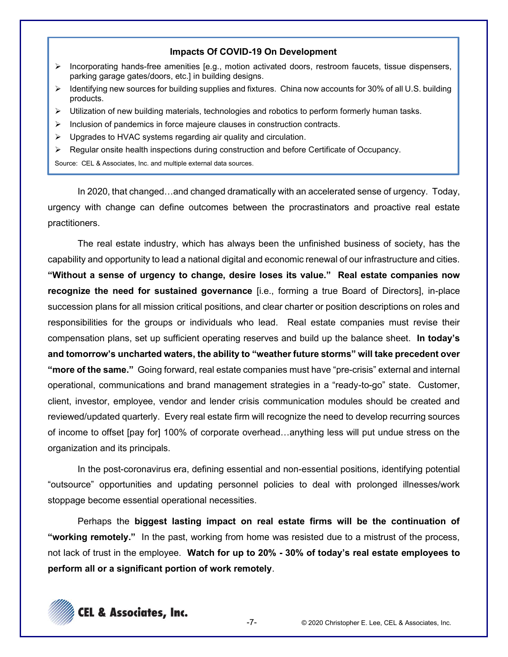#### Impacts Of COVID-19 On Development

- Incorporating hands-free amenities [e.g., motion activated doors, restroom faucets, tissue dispensers,  $\blacktriangleright$ parking garage gates/doors, etc.] in building designs.
- $\triangleright$  Identifying new sources for building supplies and fixtures. China now accounts for 30% of all U.S. building products.
- $\triangleright$  Utilization of new building materials, technologies and robotics to perform formerly human tasks.
- $\triangleright$  Inclusion of pandemics in force majeure clauses in construction contracts.
- $\triangleright$  Upgrades to HVAC systems regarding air quality and circulation.
- $\triangleright$  Regular onsite health inspections during construction and before Certificate of Occupancy.

Source: CEL & Associates, Inc. and multiple external data sources.

In 2020, that changed...and changed dramatically with an accelerated sense of urgency. Today, urgency with change can define outcomes between the procrastinators and proactive real estate practitioners.

The real estate industry, which has always been the unfinished business of society, has the capability and opportunity to lead a national digital and economic renewal of our infrastructure and cities. "Without a sense of urgency to change, desire loses its value." Real estate companies now recognize the need for sustained governance [i.e., forming a true Board of Directors], in-place succession plans for all mission critical positions, and clear charter or position descriptions on roles and responsibilities for the groups or individuals who lead. Real estate companies must revise their compensation plans, set up sufficient operating reserves and build up the balance sheet. In today's and tomorrow's uncharted waters, the ability to "weather future storms" will take precedent over "more of the same." Going forward, real estate companies must have "pre-crisis" external and internal operational, communications and brand management strategies in a "ready-to-go" state. Customer, client, investor, employee, vendor and lender crisis communication modules should be created and reviewed/updated quarterly. Every real estate firm will recognize the need to develop recurring sources of income to offset [pay for] 100% of corporate overhead...anything less will put undue stress on the organization and its principals.

In the post-coronavirus era, defining essential and non-essential positions, identifying potential "outsource" opportunities and updating personnel policies to deal with prolonged illnesses/work stoppage become essential operational necessities.

Perhaps the biggest lasting impact on real estate firms will be the continuation of "working remotely." In the past, working from home was resisted due to a mistrust of the process, not lack of trust in the employee. Watch for up to 20% - 30% of today's real estate employees to perform all or a significant portion of work remotely.



 $-7-$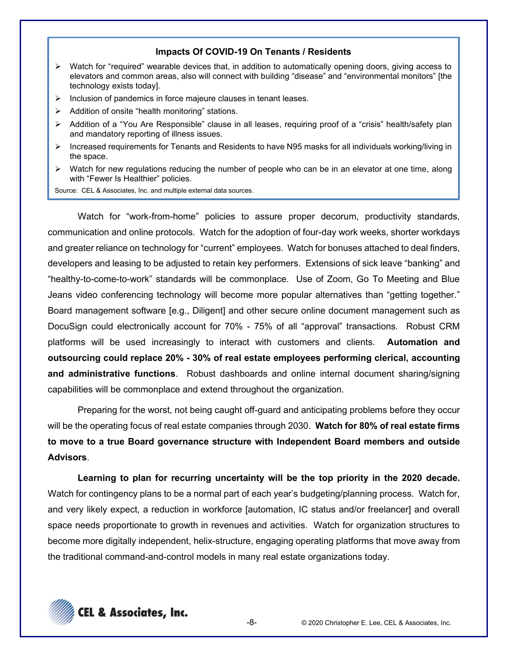#### **Impacts Of COVID-19 On Tenants / Residents**

- $\triangleright$  Watch for "required" wearable devices that, in addition to automatically opening doors, giving access to elevators and common areas, also will connect with building "disease" and "environmental monitors" [the technology exists today].
- $\triangleright$  Inclusion of pandemics in force majeure clauses in tenant leases.
- $\triangleright$  Addition of onsite "health monitoring" stations.
- $\triangleright$  Addition of a "You Are Responsible" clause in all leases, requiring proof of a "crisis" health/safety plan and mandatory reporting of illness issues.
- ¾ Increased requirements for Tenants and Residents to have N95 masks for all individuals working/living in the space.
- $\triangleright$  Watch for new regulations reducing the number of people who can be in an elevator at one time, along with "Fewer Is Healthier" policies.

Source: CEL & Associates, Inc. and multiple external data sources.

Watch for "work-from-home" policies to assure proper decorum, productivity standards, communication and online protocols. Watch for the adoption of four-day work weeks, shorter workdays and greater reliance on technology for "current" employees. Watch for bonuses attached to deal finders, developers and leasing to be adjusted to retain key performers. Extensions of sick leave "banking" and "healthy-to-come-to-work" standards will be commonplace. Use of Zoom, Go To Meeting and Blue Jeans video conferencing technology will become more popular alternatives than "getting together." Board management software [e.g., Diligent] and other secure online document management such as DocuSign could electronically account for 70% - 75% of all "approval" transactions. Robust CRM platforms will be used increasingly to interact with customers and clients. **Automation and outsourcing could replace 20% - 30% of real estate employees performing clerical, accounting and administrative functions**. Robust dashboards and online internal document sharing/signing capabilities will be commonplace and extend throughout the organization.

Preparing for the worst, not being caught off-guard and anticipating problems before they occur will be the operating focus of real estate companies through 2030. **Watch for 80% of real estate firms to move to a true Board governance structure with Independent Board members and outside Advisors**.

**Learning to plan for recurring uncertainty will be the top priority in the 2020 decade.** Watch for contingency plans to be a normal part of each year's budgeting/planning process. Watch for, and very likely expect, a reduction in workforce [automation, IC status and/or freelancer] and overall space needs proportionate to growth in revenues and activities. Watch for organization structures to become more digitally independent, helix-structure, engaging operating platforms that move away from the traditional command-and-control models in many real estate organizations today.

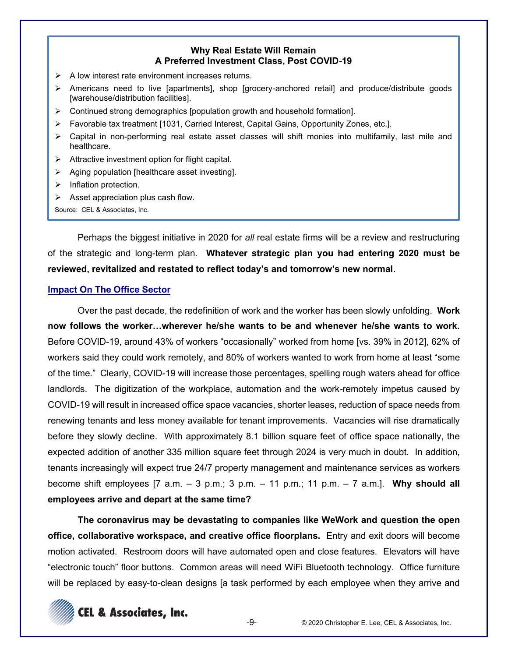#### **Why Real Estate Will Remain A Preferred Investment Class, Post COVID-19**

- $\triangleright$  A low interest rate environment increases returns.
- ¾ Americans need to live [apartments], shop [grocery-anchored retail] and produce/distribute goods [warehouse/distribution facilities].
- $\triangleright$  Continued strong demographics [population growth and household formation].
- $\triangleright$  Favorable tax treatment [1031, Carried Interest, Capital Gains, Opportunity Zones, etc.].
- $\triangleright$  Capital in non-performing real estate asset classes will shift monies into multifamily, last mile and healthcare.
- $\triangleright$  Attractive investment option for flight capital.
- $\triangleright$  Aging population [healthcare asset investing].
- $\triangleright$  Inflation protection.
- $\triangleright$  Asset appreciation plus cash flow.

Source: CEL & Associates, Inc.

Perhaps the biggest initiative in 2020 for *all* real estate firms will be a review and restructuring of the strategic and long-term plan. **Whatever strategic plan you had entering 2020 must be**  reviewed, revitalized and restated to reflect today's and tomorrow's new normal.

#### **Impact On The Office Sector**

Over the past decade, the redefinition of work and the worker has been slowly unfolding. **Work**  now follows the worker...wherever he/she wants to be and whenever he/she wants to work. Before COVID-19, around 43% of workers "occasionally" worked from home [vs. 39% in 2012], 62% of workers said they could work remotely, and 80% of workers wanted to work from home at least "some of the time." Clearly, COVID-19 will increase those percentages, spelling rough waters ahead for office landlords. The digitization of the workplace, automation and the work-remotely impetus caused by COVID-19 will result in increased office space vacancies, shorter leases, reduction of space needs from renewing tenants and less money available for tenant improvements. Vacancies will rise dramatically before they slowly decline. With approximately 8.1 billion square feet of office space nationally, the expected addition of another 335 million square feet through 2024 is very much in doubt. In addition, tenants increasingly will expect true 24/7 property management and maintenance services as workers become shift employees  $[7 \text{ a.m.} - 3 \text{ p.m.}; 3 \text{ p.m.} - 11 \text{ p.m.}; 11 \text{ p.m.} - 7 \text{ a.m.}].$  Why should all **employees arrive and depart at the same time?**

**The coronavirus may be devastating to companies like WeWork and question the open office, collaborative workspace, and creative office floorplans.** Entry and exit doors will become motion activated. Restroom doors will have automated open and close features. Elevators will have "electronic touch" floor buttons. Common areas will need WiFi Bluetooth technology. Office furniture will be replaced by easy-to-clean designs [a task performed by each employee when they arrive and

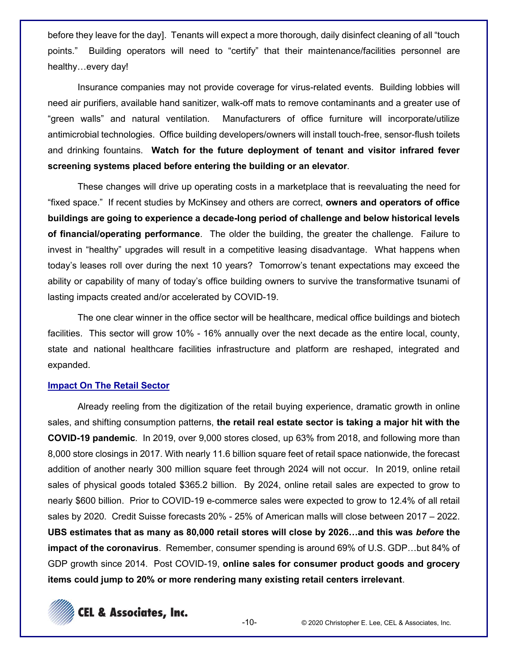before they leave for the day]. Tenants will expect a more thorough, daily disinfect cleaning of all "touch" Building operators will need to "certify" that their maintenance/facilities personnel are points." healthy...every day!

Insurance companies may not provide coverage for virus-related events. Building lobbies will need air purifiers, available hand sanitizer, walk-off mats to remove contaminants and a greater use of "green walls" and natural ventilation. Manufacturers of office furniture will incorporate/utilize antimicrobial technologies. Office building developers/owners will install touch-free, sensor-flush toilets and drinking fountains. Watch for the future deployment of tenant and visitor infrared fever screening systems placed before entering the building or an elevator.

These changes will drive up operating costs in a marketplace that is reevaluating the need for "fixed space." If recent studies by McKinsey and others are correct, owners and operators of office buildings are going to experience a decade-long period of challenge and below historical levels of financial/operating performance. The older the building, the greater the challenge. Failure to invest in "healthy" upgrades will result in a competitive leasing disadvantage. What happens when today's leases roll over during the next 10 years? Tomorrow's tenant expectations may exceed the ability or capability of many of today's office building owners to survive the transformative tsunami of lasting impacts created and/or accelerated by COVID-19.

The one clear winner in the office sector will be healthcare, medical office buildings and biotech facilities. This sector will grow 10% - 16% annually over the next decade as the entire local, county, state and national healthcare facilities infrastructure and platform are reshaped, integrated and expanded.

#### **Impact On The Retail Sector**

Already reeling from the digitization of the retail buying experience, dramatic growth in online sales, and shifting consumption patterns, the retail real estate sector is taking a major hit with the **COVID-19 pandemic.** In 2019, over 9,000 stores closed, up 63% from 2018, and following more than 8,000 store closings in 2017. With nearly 11.6 billion square feet of retail space nationwide, the forecast addition of another nearly 300 million square feet through 2024 will not occur. In 2019, online retail sales of physical goods totaled \$365.2 billion. By 2024, online retail sales are expected to grow to nearly \$600 billion. Prior to COVID-19 e-commerce sales were expected to grow to 12.4% of all retail sales by 2020. Credit Suisse forecasts 20% - 25% of American malls will close between 2017 - 2022. UBS estimates that as many as 80,000 retail stores will close by 2026...and this was before the impact of the coronavirus. Remember, consumer spending is around 69% of U.S. GDP...but 84% of GDP growth since 2014. Post COVID-19, online sales for consumer product goods and grocery items could jump to 20% or more rendering many existing retail centers irrelevant.

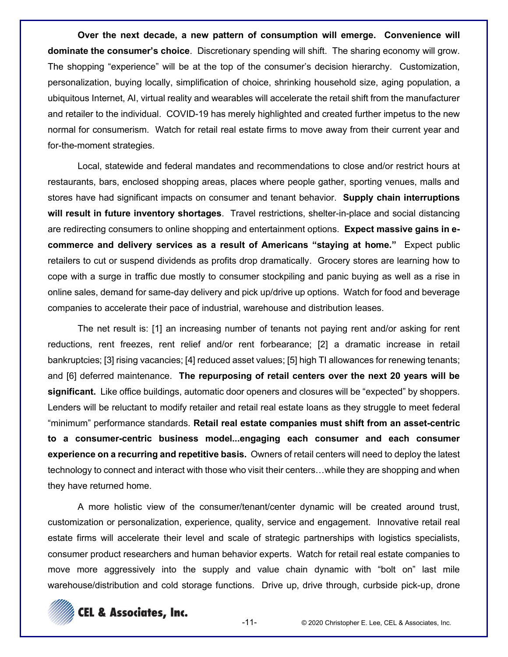**Over the next decade, a new pattern of consumption will emerge. Convenience will dominate the consumer's choice**. Discretionary spending will shift. The sharing economy will grow. The shopping "experience" will be at the top of the consumer's decision hierarchy. Customization, personalization, buying locally, simplification of choice, shrinking household size, aging population, a ubiquitous Internet, AI, virtual reality and wearables will accelerate the retail shift from the manufacturer and retailer to the individual. COVID-19 has merely highlighted and created further impetus to the new normal for consumerism. Watch for retail real estate firms to move away from their current year and for-the-moment strategies.

Local, statewide and federal mandates and recommendations to close and/or restrict hours at restaurants, bars, enclosed shopping areas, places where people gather, sporting venues, malls and stores have had significant impacts on consumer and tenant behavior. **Supply chain interruptions will result in future inventory shortages**. Travel restrictions, shelter-in-place and social distancing are redirecting consumers to online shopping and entertainment options. **Expect massive gains in ecommerce and delivery services as a result of Americans "staying at home."** Expect public retailers to cut or suspend dividends as profits drop dramatically. Grocery stores are learning how to cope with a surge in traffic due mostly to consumer stockpiling and panic buying as well as a rise in online sales, demand for same-day delivery and pick up/drive up options. Watch for food and beverage companies to accelerate their pace of industrial, warehouse and distribution leases.

The net result is: [1] an increasing number of tenants not paying rent and/or asking for rent reductions, rent freezes, rent relief and/or rent forbearance; [2] a dramatic increase in retail bankruptcies; [3] rising vacancies; [4] reduced asset values; [5] high TI allowances for renewing tenants; and [6] deferred maintenance. **The repurposing of retail centers over the next 20 years will be significant.** Like office buildings, automatic door openers and closures will be "expected" by shoppers. Lenders will be reluctant to modify retailer and retail real estate loans as they struggle to meet federal "minimum" performance standards. **Retail real estate companies must shift from an asset-centric to a consumer-centric business model...engaging each consumer and each consumer experience on a recurring and repetitive basis.** Owners of retail centers will need to deploy the latest technology to connect and interact with those who visit their centers...while they are shopping and when they have returned home.

A more holistic view of the consumer/tenant/center dynamic will be created around trust, customization or personalization, experience, quality, service and engagement. Innovative retail real estate firms will accelerate their level and scale of strategic partnerships with logistics specialists, consumer product researchers and human behavior experts. Watch for retail real estate companies to move more aggressively into the supply and value chain dynamic with "bolt on" last mile warehouse/distribution and cold storage functions. Drive up, drive through, curbside pick-up, drone

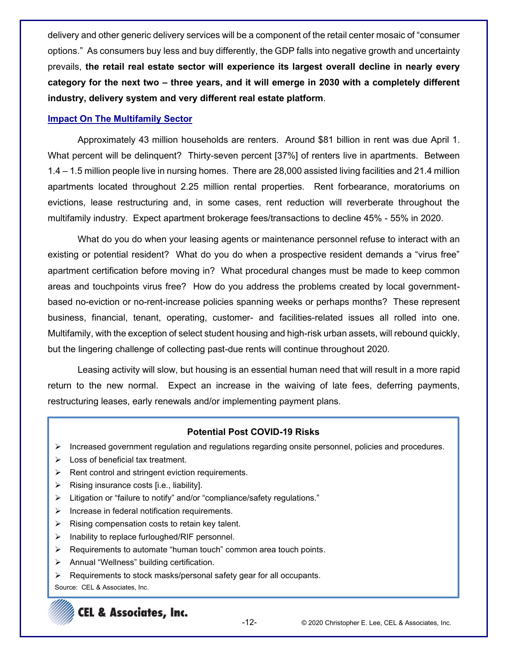deliyery and other generic delivery services will be a component of the retail center mosaic of "consumer options." As consumers buy less and buy differently, the GDP falls into negative growth and uncertainty prevails, **the retail real estate sector will experience its largest overall decline in nearly every**  category for the next two – three years, and it will emerge in 2030 with a completely different **industry, delivery system and very different real estate platform**.

# **Impact On The Multifamily Sector**

Approximately 43 million households are renters. Around \$81 billion in rent was due April 1. What percent will be delinguent? Thirty-seven percent [37%] of renters live in apartments. Between 1.4 - 1.5 million people live in nursing homes. There are 28,000 assisted living facilities and 21.4 million apartments located throughout 2.25 million rental properties. Rent forbearance, moratoriums on evictions, lease restructuring and, in some cases, rent reduction will reverberate throughout the multifamily industry. Expect apartment brokerage fees/transactions to decline 45% - 55% in 2020.

What do you do when your leasing agents or maintenance personnel refuse to interact with an existing or potential resident? What do you do when a prospective resident demands a "virus free" apartment certification before moving in? What procedural changes must be made to keep common areas and touchpoints virus free? How do you address the problems created by local governmentbased no-eviction or no-rent-increase policies spanning weeks or perhaps months? These represent business, financial, tenant, operating, customer- and facilities-related issues all rolled into one. Multifamily, with the exception of select student housing and high-risk urban assets, will rebound quickly, but the lingering challenge of collecting past-due rents will continue throughout 2020.

Leasing activity will slow, but housing is an essential human need that will result in a more rapid return to the new normal. Expect an increase in the waiving of late fees, deferring payments, restructuring leases, early renewals and/or implementing payment plans.

# **Potential Post COVID-19 Risks**

- ¾ Increased government regulation and regulations regarding onsite personnel, policies and procedures.
- $\triangleright$  Loss of beneficial tax treatment.
- $\triangleright$  Rent control and stringent eviction requirements.
- $\triangleright$  Rising insurance costs [i.e., liability].
- $\triangleright$  Litigation or "failure to notify" and/or "compliance/safety regulations."
- $\triangleright$  Increase in federal notification requirements.
- $\triangleright$  Rising compensation costs to retain key talent.
- $\triangleright$  Inability to replace furloughed/RIF personnel.
- $\triangleright$  Requirements to automate "human touch" common area touch points.
- $\triangleright$  Annual "Wellness" building certification.
- $\triangleright$  Requirements to stock masks/personal safety gear for all occupants.

Source: CEL & Associates, Inc.

# **CEL & Associates, Inc.**

-12- © 2020 Christopher E. Lee, CEL & Associates, Inc.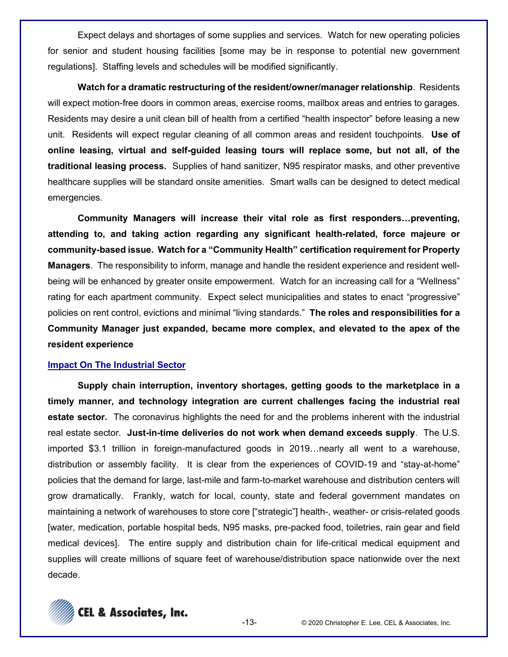Expect delays and shortages of some supplies and services. Watch for new operating policies for senior and student housing facilities [some may be in response to potential new government regulations]. Staffing levels and schedules will be modified significantly.

**Watch for a dramatic restructuring of the resident/owner/manager relationship**. Residents will expect motion-free doors in common areas, exercise rooms, mailbox areas and entries to garages. Residents may desire a unit clean bill of health from a certified "health inspector" before leasing a new unit. Residents will expect regular cleaning of all common areas and resident touchpoints. **Use of online leasing, virtual and self-guided leasing tours will replace some, but not all, of the traditional leasing process.** Supplies of hand sanitizer, N95 respirator masks, and other preventive healthcare supplies will be standard onsite amenities. Smart walls can be designed to detect medical emergencies.

Community Managers will increase their vital role as first responders...preventing, **attending to, and taking action regarding any significant health-related, force majeure or community-based issue. Watch for a "Community Health" certification requirement for Property Managers**. The responsibility to inform, manage and handle the resident experience and resident wellbeing will be enhanced by greater onsite empowerment. Watch for an increasing call for a "Wellness" rating for each apartment community. Expect select municipalities and states to enact "progressive" policies on rent control, evictions and minimal "living standards." The roles and responsibilities for a **Community Manager just expanded, became more complex, and elevated to the apex of the resident experience**

#### **Impact On The Industrial Sector**

**Supply chain interruption, inventory shortages, getting goods to the marketplace in a timely manner, and technology integration are current challenges facing the industrial real estate sector.** The coronavirus highlights the need for and the problems inherent with the industrial real estate sector. **Just-in-time deliveries do not work when demand exceeds supply**. The U.S. imported \$3.1 trillion in foreign-manufactured goods in 2019...nearly all went to a warehouse, distribution or assembly facility. It is clear from the experiences of COVID-19 and "stay-at-home" policies that the demand for large, last-mile and farm-to-market warehouse and distribution centers will grow dramatically. Frankly, watch for local, county, state and federal government mandates on maintaining a network of warehouses to store core ["strategic"] health-, weather- or crisis-related goods [water, medication, portable hospital beds, N95 masks, pre-packed food, toiletries, rain gear and field medical devices]. The entire supply and distribution chain for life-critical medical equipment and supplies will create millions of square feet of warehouse/distribution space nationwide over the next decade.

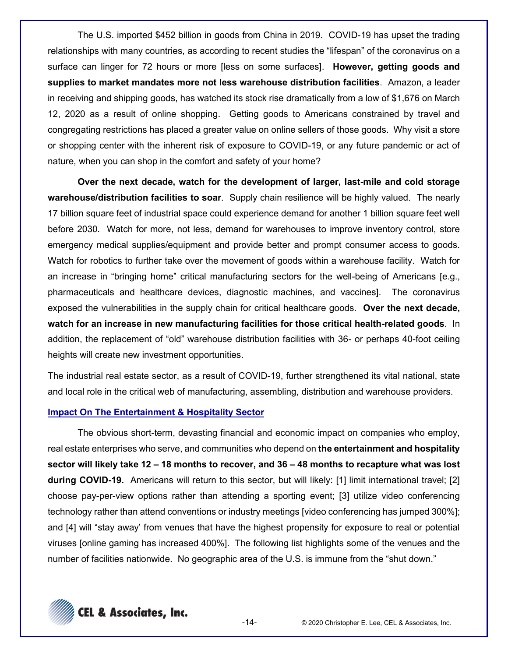The U.S. imported \$452 billion in goods from China in 2019. COVID-19 has upset the trading relationships with many countries, as according to recent studies the "lifespan" of the coronayirus on a surface can linger for 72 hours or more [less on some surfaces]. **However, getting goods and supplies to market mandates more not less warehouse distribution facilities**. Amazon, a leader in receiving and shipping goods, has watched its stock rise dramatically from a low of \$1,676 on March 12, 2020 as a result of online shopping. Getting goods to Americans constrained by travel and congregating restrictions has placed a greater value on online sellers of those goods. Why visit a store or shopping center with the inherent risk of exposure to COVID-19, or any future pandemic or act of nature, when you can shop in the comfort and safety of your home?

**Over the next decade, watch for the development of larger, last-mile and cold storage warehouse/distribution facilities to soar**. Supply chain resilience will be highly valued. The nearly 17 billion square feet of industrial space could experience demand for another 1 billion square feet well before 2030. Watch for more, not less, demand for warehouses to improve inventory control, store emergency medical supplies/equipment and provide better and prompt consumer access to goods. Watch for robotics to further take over the movement of goods within a warehouse facility. Watch for an increase in "bringing home" critical manufacturing sectors for the well-being of Americans [e.g., pharmaceuticals and healthcare devices, diagnostic machines, and vaccines]. The coronavirus exposed the vulnerabilities in the supply chain for critical healthcare goods. **Over the next decade, watch for an increase in new manufacturing facilities for those critical health-related goods**. In addition, the replacement of "old" warehouse distribution facilities with 36- or perhaps 40-foot ceiling heights will create new investment opportunities.

The industrial real estate sector, as a result of COVID-19, further strengthened its vital national, state and local role in the critical web of manufacturing, assembling, distribution and warehouse providers.

#### **Impact On The Entertainment & Hospitality Sector**

The obvious short-term, devasting financial and economic impact on companies who employ, real estate enterprises who serve, and communities who depend on **the entertainment and hospitality sector will likely take 12 ± 18 months to recover, and 36 ± 48 months to recapture what was lost during COVID-19.** Americans will return to this sector, but will likely: [1] limit international travel; [2] choose pay-per-view options rather than attending a sporting event; [3] utilize video conferencing technology rather than attend conventions or industry meetings [video conferencing has jumped 300%]; and [4] will "stay away' from venues that have the highest propensity for exposure to real or potential viruses [online gaming has increased 400%]. The following list highlights some of the venues and the number of facilities nationwide. No geographic area of the U.S. is immune from the "shut down."

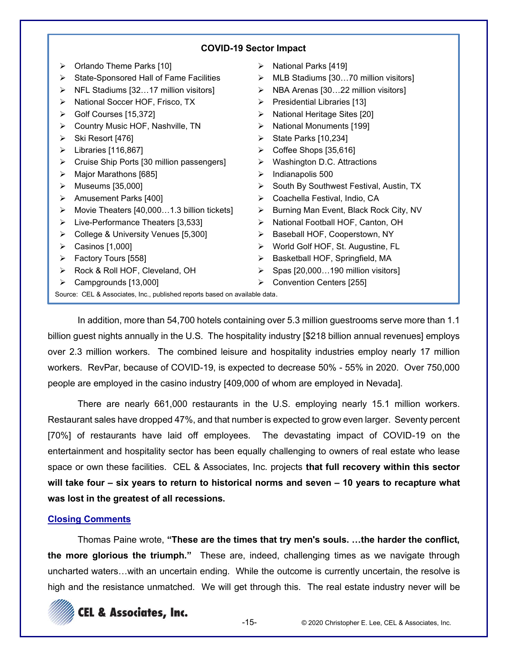# **COVID-19 Sector Impact**

¾ Orlando Theme Parks [10] ¾ State-Sponsored Hall of Fame Facilities  $\triangleright$  NFL Stadiums [32...17 million visitors] ¾ National Soccer HOF, Frisco, TX ¾ Golf Courses [15,372]  $\triangleright$  Country Music HOF, Nashville, TN  $\triangleright$  Ski Resort [476]  $\blacktriangleright$  Libraries [116,867]  $\triangleright$  Cruise Ship Ports [30 million passengers]  $\triangleright$  Major Marathons [685]  $\blacktriangleright$  Museums [35,000] ¾ Amusement Parks [400]  $\blacktriangleright$  Movie Theaters [40,000...1.3 billion tickets]  $\triangleright$  Live-Performance Theaters [3,533] ¾ College & University Venues [5,300]  $\triangleright$  Casinos [1,000] ¾ Factory Tours [558] ¾ Rock & Roll HOF, Cleveland, OH  $\triangleright$  Campgrounds [13,000] ¾ National Parks [419]  $\triangleright$  MLB Stadiums [30...70 million visitors]  $\triangleright$  NBA Arenas [30...22 million visitors]  $\triangleright$  Presidential Libraries [13]  $\triangleright$  National Heritage Sites [20] ¾ National Monuments [199]  $\triangleright$  State Parks [10,234] ¾ Coffee Shops [35,616]  $\triangleright$  Washington D.C. Attractions  $\blacktriangleright$  Indianapolis 500  $\triangleright$  South By Southwest Festival, Austin, TX ¾ Coachella Festival, Indio, CA ¾ Burning Man Event, Black Rock City, NV ¾ National Football HOF, Canton, OH ¾ Baseball HOF, Cooperstown, NY ¾ World Golf HOF, St. Augustine, FL  $\triangleright$  Basketball HOF, Springfield, MA  $\triangleright$  Spas [20,000...190 million visitors] ¾ Convention Centers [255] Source: CEL & Associates, Inc., published reports based on available data.

In addition, more than 54,700 hotels containing over 5.3 million guestrooms serve more than 1.1 billion guest nights annually in the U.S. The hospitality industry [\$218 billion annual revenues] employs over 2.3 million workers. The combined leisure and hospitality industries employ nearly 17 million workers. RevPar, because of COVID-19, is expected to decrease 50% - 55% in 2020. Over 750,000 people are employed in the casino industry [409,000 of whom are employed in Nevada].

There are nearly 661,000 restaurants in the U.S. employing nearly 15.1 million workers. Restaurant sales have dropped 47%, and that number is expected to grow even larger. Seventy percent [70%] of restaurants have laid off employees. The devastating impact of COVID-19 on the entertainment and hospitality sector has been equally challenging to owners of real estate who lease space or own these facilities. CEL & Associates, Inc. projects **that full recovery within this sector will take four ± six years to return to historical norms and seven ± 10 years to recapture what was lost in the greatest of all recessions.**

# **Closing Comments**

Thomas Paine wrote, "These are the times that try men's souls. ...the harder the conflict, **the more glorious the triumph.**" These are, indeed, challenging times as we navigate through uncharted waters...with an uncertain ending. While the outcome is currently uncertain, the resolve is high and the resistance unmatched. We will get through this. The real estate industry never will be

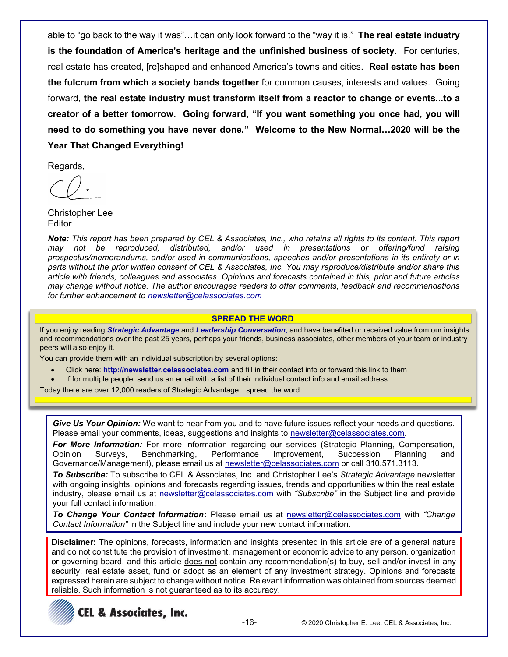able to "go back to the way it was"...it can only look forward to the "way it is." **The real estate industry** is the foundation of America's heritage and the unfinished business of society. For centuries, real estate has created, [re]shaped and enhanced America's towns and cities. **Real estate has been the fulcrum from which a society bands together** for common causes, interests and values. Going forward, **the real estate industry must transform itself from a reactor to change or events...to a**  creator of a better tomorrow. Going forward, "If you want something you once had, you will  $n$ eed to do something you have never done.<sup>"</sup> Welcome to the New Normal...2020 will be the **Year That Changed Everything!**

Regards,

Christopher Lee **Editor** 

*Note: This report has been prepared by CEL & Associates, Inc., who retains all rights to its content. This report may not be reproduced, distributed, and/or used in presentations or offering/fund raising prospectus/memorandums, and/or used in communications, speeches and/or presentations in its entirety or in parts without the prior written consent of CEL & Associates, Inc. You may reproduce/distribute and/or share this article with friends, colleagues and associates. Opinions and forecasts contained in this, prior and future articles may change without notice. The author encourages readers to offer comments, feedback and recommendations for further enhancement to newsletter@celassociates.com*

#### **SPREAD THE WORD**

If you enjoy reading *Strategic Advantage* and *Leadership Conversation*, and have benefited or received value from our insights and recommendations over the past 25 years, perhaps your friends, business associates, other members of your team or industry peers will also enjoy it.

You can provide them with an individual subscription by several options:

- x Click here: **http://newsletter.celassociates.com** and fill in their contact info or forward this link to them
- If for multiple people, send us an email with a list of their individual contact info and email address

Today there are over 12,000 readers of Strategic Advantage...spread the word.

*Give Us Your Opinion:* We want to hear from you and to have future issues reflect your needs and questions. Please email your comments, ideas, suggestions and insights to newsletter@celassociates.com.

**For More Information:** For more information regarding our services (Strategic Planning, Compensation, Opinion Surveys, Benchmarking, Performance Improvement, Succession Planning and Governance/Management), please email us at newsletter@celassociates.com or call 310.571.3113.

**To Subscribe:** To subscribe to CEL & Associates, Inc. and Christopher Lee's Strategic Advantage newsletter with ongoing insights, opinions and forecasts regarding issues, trends and opportunities within the real estate industry, please email us at newsletter@celassociates.com with "Subscribe" in the Subject line and provide your full contact information.

**To Change Your Contact Information:** Please email us at newsletter@celassociates.com with "Change" *Contact Information*" in the Subject line and include your new contact information.

**Disclaimer:** The opinions, forecasts, information and insights presented in this article are of a general nature and do not constitute the provision of investment, management or economic advice to any person, organization or governing board, and this article does not contain any recommendation(s) to buy, sell and/or invest in any security, real estate asset, fund or adopt as an element of any investment strategy. Opinions and forecasts expressed herein are subject to change without notice. Relevant information was obtained from sources deemed reliable. Such information is not guaranteed as to its accuracy.